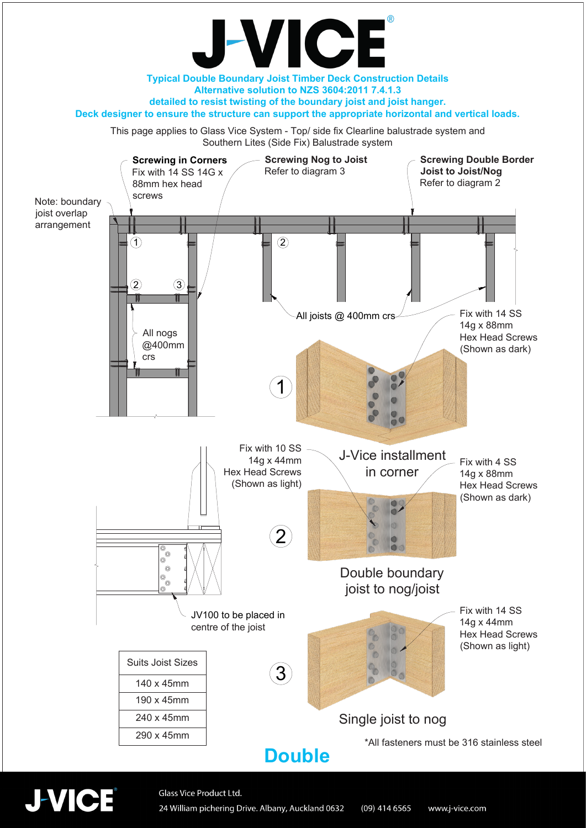

## **Double**



Glass Vice Product Ltd. 24 William pichering Drive. Albany, Auckland 0632  $(09)$  414 6565 www.j-vice.com